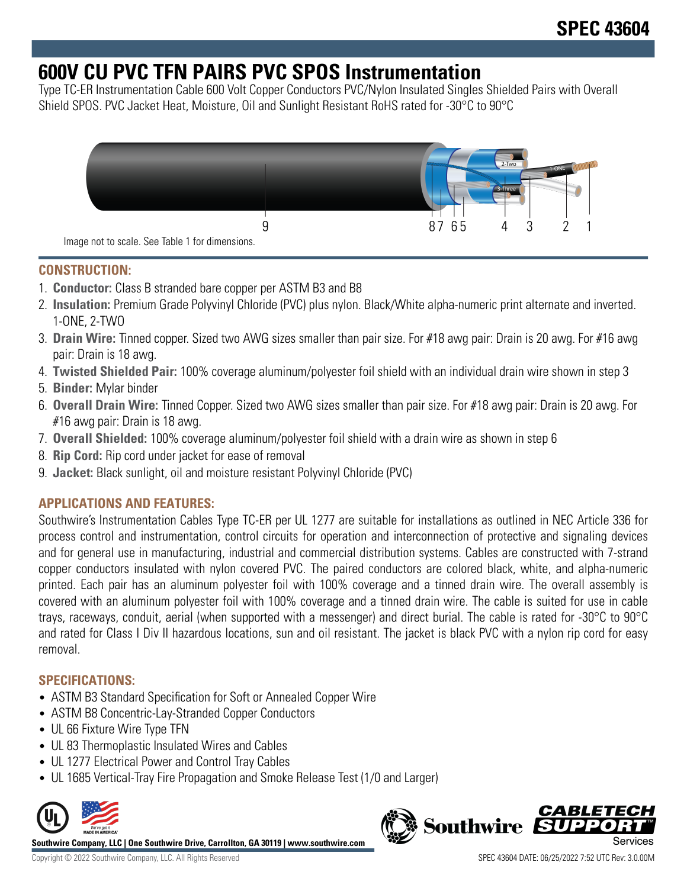# **600V CU PVC TFN PAIRS PVC SPOS Instrumentation**

Type TC-ER Instrumentation Cable 600 Volt Copper Conductors PVC/Nylon Insulated Singles Shielded Pairs with Overall Shield SPOS. PVC Jacket Heat, Moisture, Oil and Sunlight Resistant RoHS rated for -30°C to 90°C



## **CONSTRUCTION:**

- 1. **Conductor:** Class B stranded bare copper per ASTM B3 and B8
- 2. **Insulation:** Premium Grade Polyvinyl Chloride (PVC) plus nylon. Black/White alpha-numeric print alternate and inverted. 1-ONE, 2-TWO
- 3. **Drain Wire:** Tinned copper. Sized two AWG sizes smaller than pair size. For #18 awg pair: Drain is 20 awg. For #16 awg pair: Drain is 18 awg.
- 4. **Twisted Shielded Pair:** 100% coverage aluminum/polyester foil shield with an individual drain wire shown in step 3
- 5. **Binder:** Mylar binder
- 6. **Overall Drain Wire:** Tinned Copper. Sized two AWG sizes smaller than pair size. For #18 awg pair: Drain is 20 awg. For #16 awg pair: Drain is 18 awg.
- 7. **Overall Shielded:** 100% coverage aluminum/polyester foil shield with a drain wire as shown in step 6
- 8. **Rip Cord:** Rip cord under jacket for ease of removal
- 9. **Jacket:** Black sunlight, oil and moisture resistant Polyvinyl Chloride (PVC)

## **APPLICATIONS AND FEATURES:**

Southwire's Instrumentation Cables Type TC-ER per UL 1277 are suitable for installations as outlined in NEC Article 336 for process control and instrumentation, control circuits for operation and interconnection of protective and signaling devices and for general use in manufacturing, industrial and commercial distribution systems. Cables are constructed with 7-strand copper conductors insulated with nylon covered PVC. The paired conductors are colored black, white, and alpha-numeric printed. Each pair has an aluminum polyester foil with 100% coverage and a tinned drain wire. The overall assembly is covered with an aluminum polyester foil with 100% coverage and a tinned drain wire. The cable is suited for use in cable trays, raceways, conduit, aerial (when supported with a messenger) and direct burial. The cable is rated for -30°C to 90°C and rated for Class I Div II hazardous locations, sun and oil resistant. The jacket is black PVC with a nylon rip cord for easy removal.

## **SPECIFICATIONS:**

- ASTM B3 Standard Specification for Soft or Annealed Copper Wire
- ASTM B8 Concentric-Lay-Stranded Copper Conductors
- UL 66 Fixture Wire Type TFN
- UL 83 Thermoplastic Insulated Wires and Cables
- UL 1277 Electrical Power and Control Tray Cables
- UL 1685 Vertical-Tray Fire Propagation and Smoke Release Test (1/0 and Larger)



**Southwire Company, LLC | One Southwire Drive, Carrollton, GA 30119 | www.southwire.com**

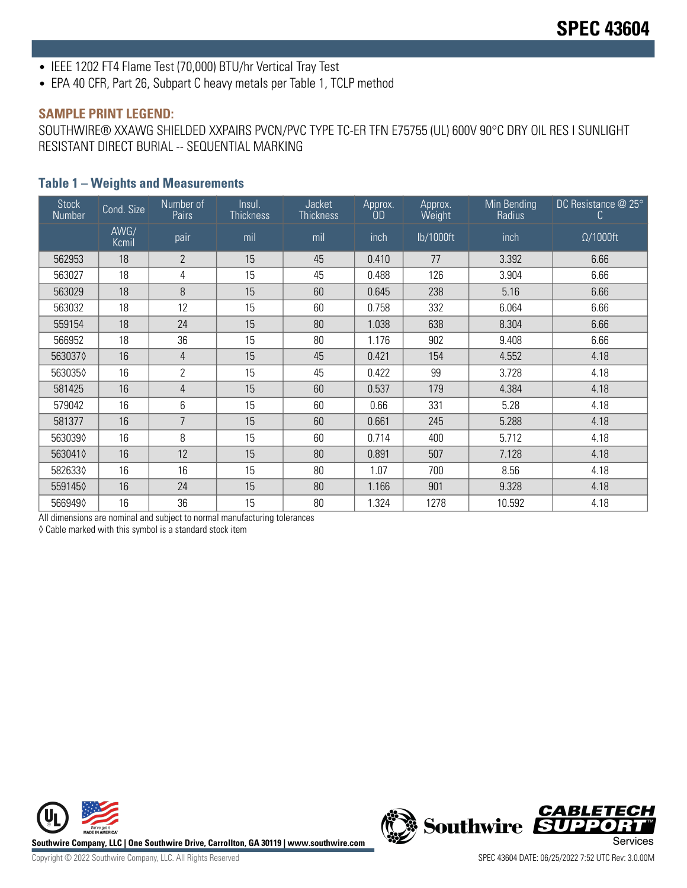- IEEE 1202 FT4 Flame Test (70,000) BTU/hr Vertical Tray Test
- EPA 40 CFR, Part 26, Subpart C heavy metals per Table 1, TCLP method

#### **SAMPLE PRINT LEGEND:**

SOUTHWIRE® XXAWG SHIELDED XXPAIRS PVCN/PVC TYPE TC-ER TFN E75755 (UL) 600V 90°C DRY OIL RES I SUNLIGHT RESISTANT DIRECT BURIAL -- SEQUENTIAL MARKING

#### **Table 1 – Weights and Measurements**

| <b>Stock</b><br>Number | Cond. Size    | Number of<br>Pairs | Insul.<br><b>Thickness</b> | Jacket<br><b>Thickness</b> | Approx.<br>ÓD | Approx.<br>Weight | Min Bending<br>Radius | DC Resistance @ 25°<br>C |
|------------------------|---------------|--------------------|----------------------------|----------------------------|---------------|-------------------|-----------------------|--------------------------|
|                        | AWG/<br>Kcmil | pair               | mil                        | mil                        | inch          | lb/1000ft         | inch                  | $\Omega/1000$ ft         |
| 562953                 | 18            | $\overline{2}$     | 15                         | 45                         | 0.410         | 77                | 3.392                 | 6.66                     |
| 563027                 | 18            | 4                  | 15                         | 45                         | 0.488         | 126               | 3.904                 | 6.66                     |
| 563029                 | 18            | 8                  | 15                         | 60                         | 0.645         | 238               | 5.16                  | 6.66                     |
| 563032                 | 18            | 12                 | 15                         | 60                         | 0.758         | 332               | 6.064                 | 6.66                     |
| 559154                 | 18            | 24                 | 15                         | 80                         | 1.038         | 638               | 8.304                 | 6.66                     |
| 566952                 | 18            | 36                 | 15                         | 80                         | 1.176         | 902               | 9.408                 | 6.66                     |
| 5630370                | 16            | 4                  | 15                         | 45                         | 0.421         | 154               | 4.552                 | 4.18                     |
| 5630350                | 16            | $\overline{2}$     | 15                         | 45                         | 0.422         | 99                | 3.728                 | 4.18                     |
| 581425                 | 16            | 4                  | 15                         | 60                         | 0.537         | 179               | 4.384                 | 4.18                     |
| 579042                 | 16            | 6                  | 15                         | 60                         | 0.66          | 331               | 5.28                  | 4.18                     |
| 581377                 | 16            | $\overline{7}$     | 15                         | 60                         | 0.661         | 245               | 5.288                 | 4.18                     |
| 5630390                | 16            | 8                  | 15                         | 60                         | 0.714         | 400               | 5.712                 | 4.18                     |
| 5630410                | 16            | 12                 | 15                         | 80                         | 0.891         | 507               | 7.128                 | 4.18                     |
| 5826330                | 16            | 16                 | 15                         | 80                         | 1.07          | 700               | 8.56                  | 4.18                     |
| 5591450                | 16            | 24                 | 15                         | 80                         | 1.166         | 901               | 9.328                 | 4.18                     |
| 5669490                | 16            | 36                 | 15                         | 80                         | 1.324         | 1278              | 10.592                | 4.18                     |

All dimensions are nominal and subject to normal manufacturing tolerances

◊ Cable marked with this symbol is a standard stock item